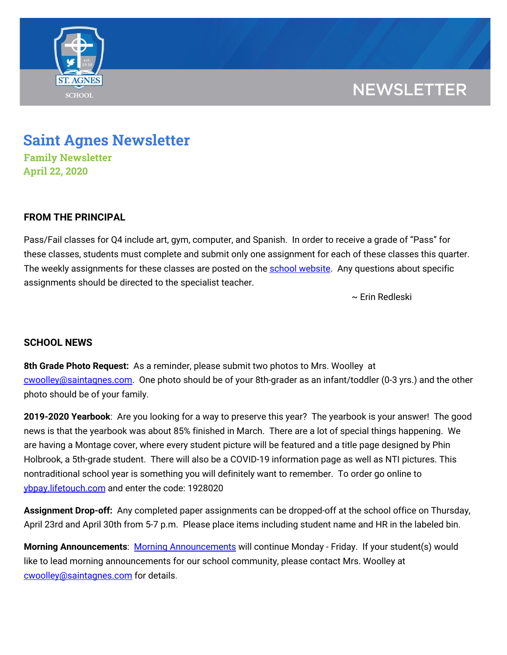

## **NEWSLETTER**

# **Saint Agnes Newsletter**

**Family Newsletter April 22, 2020**

### **FROM THE PRINCIPAL**

Pass/Fail classes for Q4 include art, gym, computer, and Spanish. In order to receive a grade of "Pass" for these classes, students must complete and submit only one assignment for each of these classes this quarter. The weekly assignments for these classes are posted on the school [website](https://school.saintagnes.com/nti-instruction/). Any questions about specific assignments should be directed to the specialist teacher.

~ Erin Redleski

### **SCHOOL NEWS**

**8th Grade Photo Request:** As a reminder, please submit two photos to Mrs. Woolley at [cwoolley@saintagnes.com.](mailto:cwoolley@saintagnes.com) One photo should be of your 8th-grader as an infant/toddler (0-3 yrs.) and the other photo should be of your family.

**2019-2020 Yearbook**: Are you looking for a way to preserve this year? The yearbook is your answer! The good news is that the yearbook was about 85% finished in March. There are a lot of special things happening. We are having a Montage cover, where every student picture will be featured and a title page designed by Phin Holbrook, a 5th-grade student. There will also be a COVID-19 information page as well as NTI pictures. This nontraditional school year is something you will definitely want to remember. To order go online to [ybpay.lifetouch.com](http://ybpay.lifetouch.com/) and enter the code: 1928020

**Assignment Drop-off:** Any completed paper assignments can be dropped-off at the school office on Thursday, April 23rd and April 30th from 5-7 p.m. Please place items including student name and HR in the labeled bin.

**Morning Announcements**: Morning [Announcements](https://www.youtube.com/playlist?list=PLFVaFXwRNac4H7Ba7ZFsTy0BapE18eEdT) will continue Monday - Friday. If your student(s) would like to lead morning announcements for our school community, please contact Mrs. Woolley at [cwoolley@saintagnes.com](mailto:cwoolley@saintagnes.com) for details.